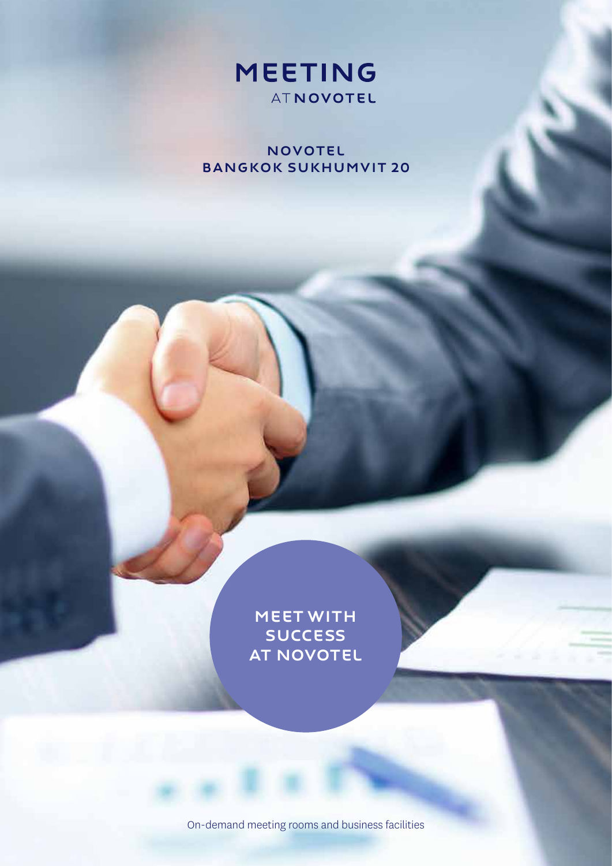

**NOVOTEL** Bangkok Sukhumvit 20

> MEETWITH **SUCCESS** AT NOVOTEL

On-demand meeting rooms and business facilities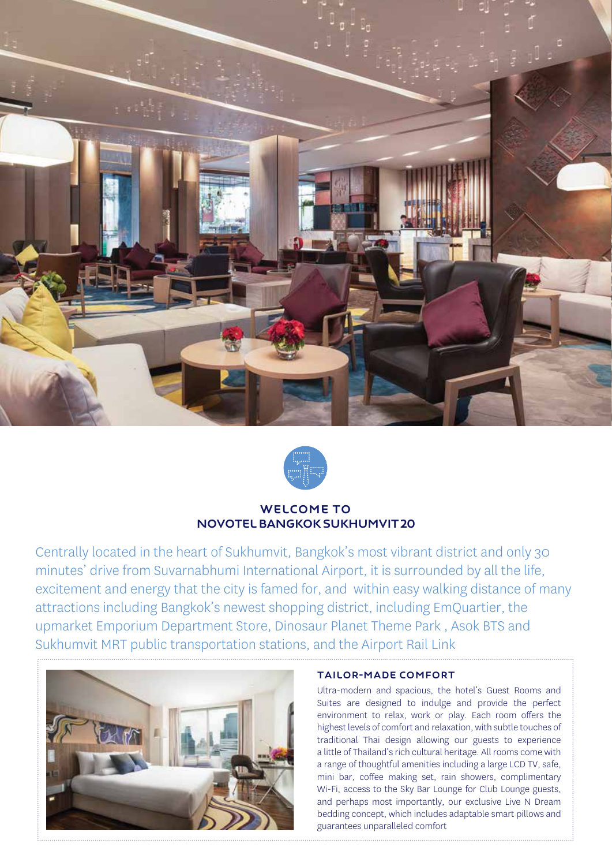



# WELCOME TO Novotel Bangkok Sukhumvit 20

Centrally located in the heart of Sukhumvit, Bangkok's most vibrant district and only 30 minutes' drive from Suvarnabhumi International Airport, it is surrounded by all the life, excitement and energy that the city is famed for, and within easy walking distance of many attractions including Bangkok's newest shopping district, including EmQuartier, the upmarket Emporium Department Store, Dinosaur Planet Theme Park , Asok BTS and Sukhumvit MRT public transportation stations, and the Airport Rail Link



### Tailor-Made Comfort

Ultra-modern and spacious, the hotel's Guest Rooms and Suites are designed to indulge and provide the perfect environment to relax, work or play. Each room offers the highest levels of comfort and relaxation, with subtle touches of traditional Thai design allowing our guests to experience a little of Thailand's rich cultural heritage. All rooms come with a range of thoughtful amenities including a large LCD TV, safe, mini bar, coffee making set, rain showers, complimentary Wi-Fi, access to the Sky Bar Lounge for Club Lounge guests, and perhaps most importantly, our exclusive Live N Dream bedding concept, which includes adaptable smart pillows and guarantees unparalleled comfort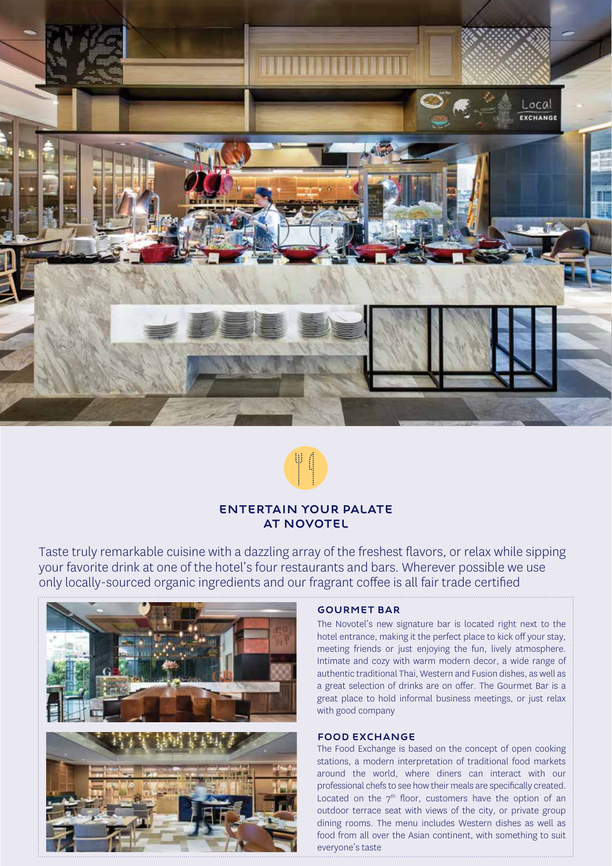



## ENTERTAIN YOUR PALATE AT NOVOTEL

Taste truly remarkable cuisine with a dazzling array of the freshest flavors, or relax while sipping your favorite drink at one of the hotel's four restaurants and bars. Wherever possible we use only locally-sourced organic ingredients and our fragrant coffee is all fair trade certified



#### Gourmet Bar

The Novotel's new signature bar is located right next to the hotel entrance, making it the perfect place to kick off your stay, meeting friends or just enjoying the fun, lively atmosphere. Intimate and cozy with warm modern decor, a wide range of authentic traditional Thai, Western and Fusion dishes, as well as a great selection of drinks are on offer. The Gourmet Bar is a great place to hold informal business meetings, or just relax with good company

#### Food Exchange

The Food Exchange is based on the concept of open cooking stations, a modern interpretation of traditional food markets around the world, where diners can interact with our professional chefs to see how their meals are specifically created. Located on the  $7<sup>th</sup>$  floor, customers have the option of an outdoor terrace seat with views of the city, or private group dining rooms. The menu includes Western dishes as well as food from all over the Asian continent, with something to suit everyone's taste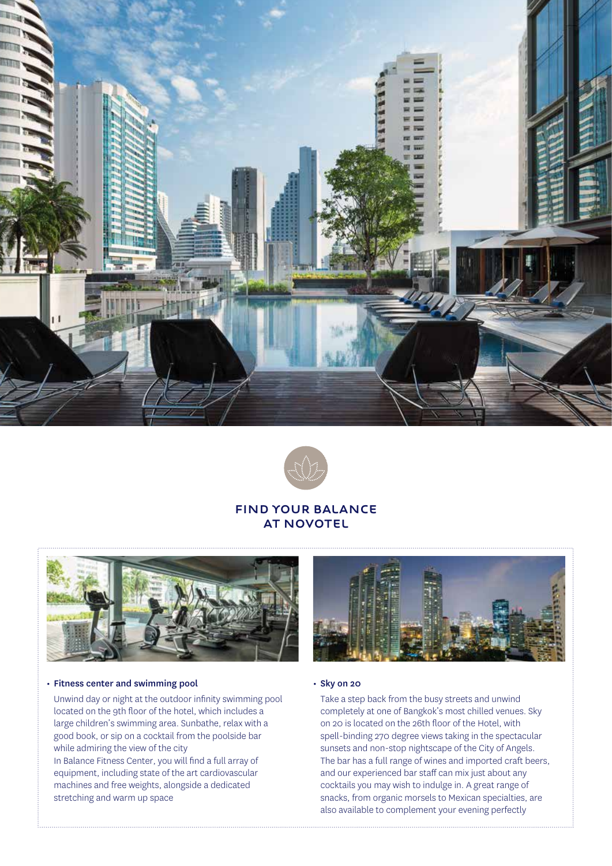



## FIND YOUR BALANCE AT NOVOTEL



#### • Fitness center and swimming pool • Sky on 20

Unwind day or night at the outdoor infinity swimming pool located on the 9th floor of the hotel, which includes a large children's swimming area. Sunbathe, relax with a good book, or sip on a cocktail from the poolside bar while admiring the view of the city

In Balance Fitness Center, you will find a full array of equipment, including state of the art cardiovascular machines and free weights, alongside a dedicated stretching and warm up space



Take a step back from the busy streets and unwind completely at one of Bangkok's most chilled venues. Sky on 20 is located on the 26th floor of the Hotel, with spell-binding 270 degree views taking in the spectacular sunsets and non-stop nightscape of the City of Angels. The bar has a full range of wines and imported craft beers, and our experienced bar staff can mix just about any cocktails you may wish to indulge in. A great range of snacks, from organic morsels to Mexican specialties, are also available to complement your evening perfectly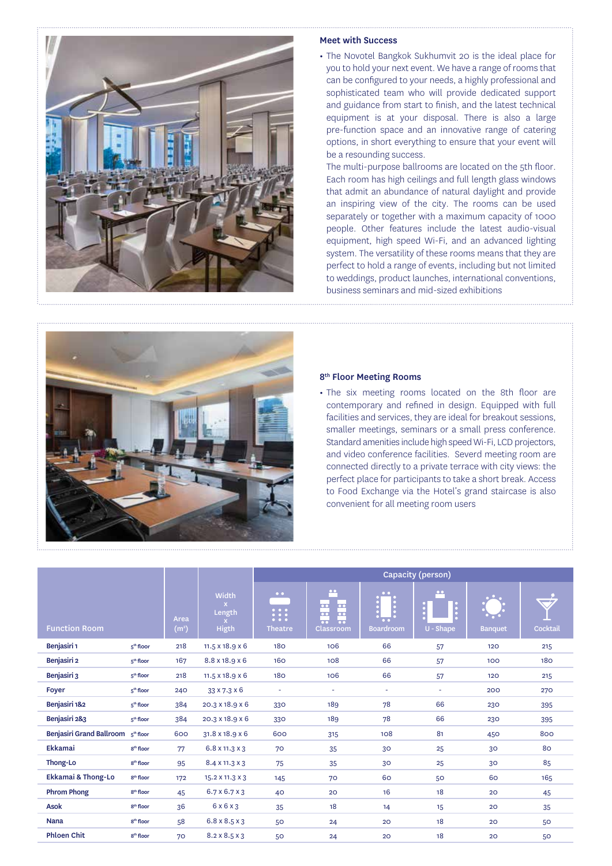

#### Meet with Success

• The Novotel Bangkok Sukhumvit 20 is the ideal place for you to hold your next event. We have a range of rooms that can be configured to your needs, a highly professional and sophisticated team who will provide dedicated support and guidance from start to finish, and the latest technical equipment is at your disposal. There is also a large pre-function space and an innovative range of catering options, in short everything to ensure that your event will be a resounding success.

The multi-purpose ballrooms are located on the 5th floor. Each room has high ceilings and full length glass windows that admit an abundance of natural daylight and provide an inspiring view of the city. The rooms can be used separately or together with a maximum capacity of 1000 people. Other features include the latest audio-visual equipment, high speed Wi-Fi, and an advanced lighting system. The versatility of these rooms means that they are perfect to hold a range of events, including but not limited to weddings, product launches, international conventions, business seminars and mid-sized exhibitions



#### 8th Floor Meeting Rooms

• The six meeting rooms located on the 8th floor are contemporary and refined in design. Equipped with full facilities and services, they are ideal for breakout sessions, smaller meetings, seminars or a small press conference. Standard amenities include high speed Wi-Fi, LCD projectors, and video conference facilities. Severd meeting room are connected directly to a private terrace with city views: the perfect place for participants to take a short break. Access to Food Exchange via the Hotel's grand staircase is also convenient for all meeting room users

|                          |                       |                           |                                 | Capacity (person)                                     |                                                                                                                                                  |                                                      |                               |                |                           |
|--------------------------|-----------------------|---------------------------|---------------------------------|-------------------------------------------------------|--------------------------------------------------------------------------------------------------------------------------------------------------|------------------------------------------------------|-------------------------------|----------------|---------------------------|
| <b>Function Room</b>     |                       | Area<br>(m <sup>2</sup> ) | Width<br>Length<br><b>Higth</b> | $\bullet$ $\bullet$<br>$\mathbb{R}$<br><b>Theatre</b> | $\bullet\bullet$<br>$\overline{\cdots}$ $\overline{\cdots}$<br>$\overline{\bullet}$<br><b>100</b><br>$\overline{\bullet}$<br>$\sim$<br>Classroom | $\bullet$ $\bullet$<br>$\bullet$<br><b>Boardroom</b> | $\bullet\bullet$<br>U - Shape | <b>Banquet</b> | $\sim$ $\sim$<br>Cocktail |
| Benjasiri 1              | 5 <sup>th</sup> floor | 218                       | $11.5 \times 18.9 \times 6$     | 180                                                   | 106                                                                                                                                              | 66                                                   | 57                            | 120            | 215                       |
| Benjasiri 2              | 5 <sup>th</sup> floor | 167                       | 8.8 x 18.9 x 6                  | 160                                                   | 108                                                                                                                                              | 66                                                   | 57                            | 100            | <b>180</b>                |
| Benjasiri 3              | 5 <sup>th</sup> floor | 218                       | $11.5 \times 18.9 \times 6$     | 180                                                   | 106                                                                                                                                              | 66                                                   | 57                            | 120            | 215                       |
| Foyer                    | 5 <sup>th</sup> floor | 240                       | 33 x 7.3 x 6                    | $\overline{\phantom{a}}$                              | $\sim$                                                                                                                                           | $\sim$                                               | $\blacksquare$                | 200            | 270                       |
| Benjasiri 182            | 5 <sup>th</sup> floor | 384                       | 20.3 x 18.9 x 6                 | 330                                                   | 189                                                                                                                                              | 78                                                   | 66                            | 230            | 395                       |
| Benjasiri 2&3            | 5 <sup>th</sup> floor | 384                       | 20.3 x 18.9 x 6                 | 330                                                   | 189                                                                                                                                              | 78                                                   | 66                            | 230            | 395                       |
| Benjasiri Grand Ballroom | 5 <sup>th</sup> floor | 600                       | $31.8 \times 18.9 \times 6$     | 600                                                   | 315                                                                                                                                              | 108                                                  | 81                            | 450            | 800                       |
| <b>Ekkamai</b>           | 8 <sup>th</sup> floor | 77                        | $6.8 \times 11.3 \times 3$      | 70                                                    | 35                                                                                                                                               | 30 <sup>°</sup>                                      | 25                            | 30             | 80                        |
| Thong-Lo                 | 8 <sup>th</sup> floor | 95                        | 8.4 x 11.3 x 3                  | 75                                                    | 35                                                                                                                                               | 30 <sup>°</sup>                                      | 25                            | 30             | 85                        |
| Ekkamai & Thong-Lo       | 8 <sup>th</sup> floor | 172                       | 15.2 X 11.3 X 3                 | 145                                                   | 70                                                                                                                                               | 60                                                   | 50                            | 60             | 165                       |
| <b>Phrom Phong</b>       | 8 <sup>th</sup> floor | 45                        | $6.7 \times 6.7 \times 3$       | 40                                                    | 20                                                                                                                                               | 16                                                   | 18                            | 20             | 45                        |
| <b>Asok</b>              | 8 <sup>th</sup> floor | 36                        | 6x6x3                           | 35                                                    | 18                                                                                                                                               | 14                                                   | 15                            | 20             | 35                        |
| <b>Nana</b>              | 8 <sup>th</sup> floor | 58                        | $6.8 \times 8.5 \times 3$       | 50                                                    | 24                                                                                                                                               | 20                                                   | 18                            | 20             | 50                        |
| <b>Phloen Chit</b>       | 8 <sup>th</sup> floor | 70                        | $8.2 \times 8.5 \times 3$       | 50                                                    | 24                                                                                                                                               | 20                                                   | 18                            | 20             | 50                        |